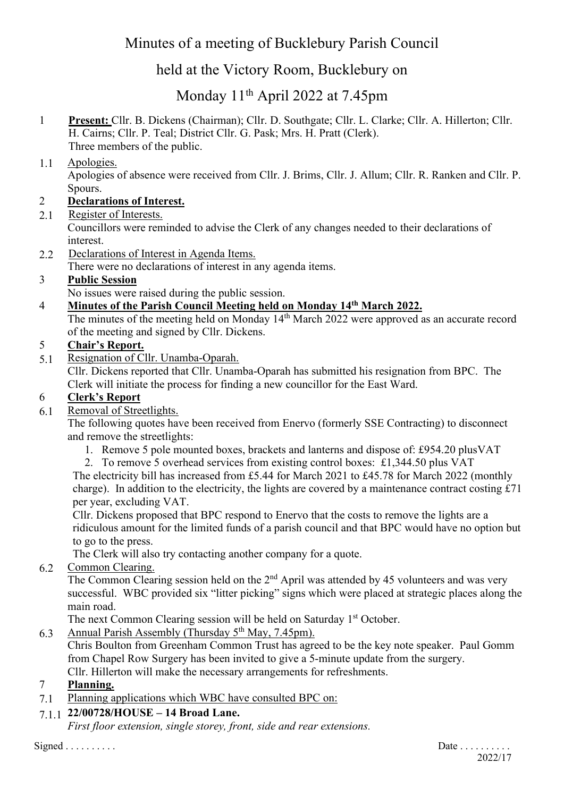# Minutes of a meeting of Bucklebury Parish Council

# held at the Victory Room, Bucklebury on

# Monday 11<sup>th</sup> April 2022 at 7.45pm

1 **Present:** Cllr. B. Dickens (Chairman); Cllr. D. Southgate; Cllr. L. Clarke; Cllr. A. Hillerton; Cllr. H. Cairns; Cllr. P. Teal; District Cllr. G. Pask; Mrs. H. Pratt (Clerk). Three members of the public.

## 1.1 Apologies.

Apologies of absence were received from Cllr. J. Brims, Cllr. J. Allum; Cllr. R. Ranken and Cllr. P. Spours.

# 2 **Declarations of Interest.**

2.1 Register of Interests.

Councillors were reminded to advise the Clerk of any changes needed to their declarations of interest.

2.2 Declarations of Interest in Agenda Items.

There were no declarations of interest in any agenda items.

# 3 **Public Session**

No issues were raised during the public session.

# 4 **Minutes of the Parish Council Meeting held on Monday 14th March 2022.**

The minutes of the meeting held on Monday 14<sup>th</sup> March 2022 were approved as an accurate record of the meeting and signed by Cllr. Dickens.

# 5 **Chair's Report.**

5.1 Resignation of Cllr. Unamba-Oparah.

Cllr. Dickens reported that Cllr. Unamba-Oparah has submitted his resignation from BPC. The Clerk will initiate the process for finding a new councillor for the East Ward.

## 6 **Clerk's Report**

6.1 Removal of Streetlights.

The following quotes have been received from Enervo (formerly SSE Contracting) to disconnect and remove the streetlights:

- 1. Remove 5 pole mounted boxes, brackets and lanterns and dispose of: £954.20 plusVAT
- 2. To remove 5 overhead services from existing control boxes: £1,344.50 plus VAT

The electricity bill has increased from £5.44 for March 2021 to £45.78 for March 2022 (monthly charge). In addition to the electricity, the lights are covered by a maintenance contract costing  $\text{\pounds}71$ per year, excluding VAT.

Cllr. Dickens proposed that BPC respond to Enervo that the costs to remove the lights are a ridiculous amount for the limited funds of a parish council and that BPC would have no option but to go to the press.

The Clerk will also try contacting another company for a quote.

6.2 Common Clearing.

The Common Clearing session held on the  $2<sup>nd</sup>$  April was attended by 45 volunteers and was very successful. WBC provided six "litter picking" signs which were placed at strategic places along the main road.

The next Common Clearing session will be held on Saturday 1<sup>st</sup> October.

6.3 Annual Parish Assembly (Thursday  $5<sup>th</sup>$  May, 7.45pm).

Chris Boulton from Greenham Common Trust has agreed to be the key note speaker. Paul Gomm from Chapel Row Surgery has been invited to give a 5-minute update from the surgery. Cllr. Hillerton will make the necessary arrangements for refreshments.

#### 7 **Planning.**

7.1 Planning applications which WBC have consulted BPC on:

#### 7.1.1 **22/00728/HOUSE – 14 Broad Lane.**

*First floor extension, single storey, front, side and rear extensions.*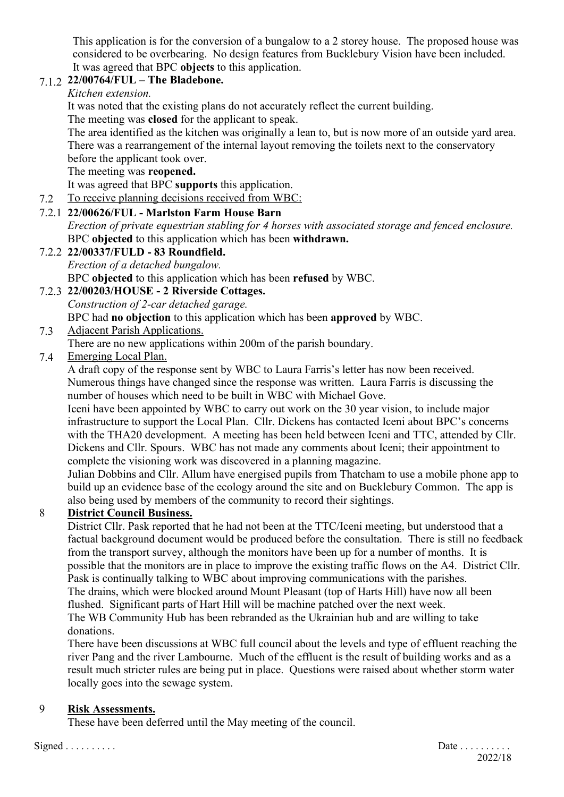This application is for the conversion of a bungalow to a 2 storey house. The proposed house was considered to be overbearing. No design features from Bucklebury Vision have been included. It was agreed that BPC **objects** to this application.

# 7.1.2 **22/00764/FUL – The Bladebone.**

*Kitchen extension.*

It was noted that the existing plans do not accurately reflect the current building.

The meeting was **closed** for the applicant to speak.

The area identified as the kitchen was originally a lean to, but is now more of an outside yard area. There was a rearrangement of the internal layout removing the toilets next to the conservatory before the applicant took over.

The meeting was **reopened.**

It was agreed that BPC **supports** this application.

- 7.2 To receive planning decisions received from WBC:
- 7.2.1 **22/00626/FUL - Marlston Farm House Barn**

*Erection of private equestrian stabling for 4 horses with associated storage and fenced enclosure.* BPC **objected** to this application which has been **withdrawn.**

7.2.2 **22/00337/FULD - 83 Roundfield.** *Erection of a detached bungalow.*

BPC **objected** to this application which has been **refused** by WBC.

#### 7.2.3 **22/00203/HOUSE - 2 Riverside Cottages.**

*Construction of 2-car detached garage.*

BPC had **no objection** to this application which has been **approved** by WBC.

- 7.3 Adjacent Parish Applications.
- There are no new applications within 200m of the parish boundary.
- 7.4 Emerging Local Plan.

A draft copy of the response sent by WBC to Laura Farris's letter has now been received. Numerous things have changed since the response was written. Laura Farris is discussing the number of houses which need to be built in WBC with Michael Gove.

Iceni have been appointed by WBC to carry out work on the 30 year vision, to include major infrastructure to support the Local Plan. Cllr. Dickens has contacted Iceni about BPC's concerns with the THA20 development. A meeting has been held between Iceni and TTC, attended by Cllr. Dickens and Cllr. Spours. WBC has not made any comments about Iceni; their appointment to complete the visioning work was discovered in a planning magazine.

Julian Dobbins and Cllr. Allum have energised pupils from Thatcham to use a mobile phone app to build up an evidence base of the ecology around the site and on Bucklebury Common. The app is also being used by members of the community to record their sightings.

#### 8 **District Council Business.**

District Cllr. Pask reported that he had not been at the TTC/Iceni meeting, but understood that a factual background document would be produced before the consultation. There is still no feedback from the transport survey, although the monitors have been up for a number of months. It is possible that the monitors are in place to improve the existing traffic flows on the A4. District Cllr. Pask is continually talking to WBC about improving communications with the parishes. The drains, which were blocked around Mount Pleasant (top of Harts Hill) have now all been flushed. Significant parts of Hart Hill will be machine patched over the next week. The WB Community Hub has been rebranded as the Ukrainian hub and are willing to take

donations.

There have been discussions at WBC full council about the levels and type of effluent reaching the river Pang and the river Lambourne. Much of the effluent is the result of building works and as a result much stricter rules are being put in place. Questions were raised about whether storm water locally goes into the sewage system.

#### 9 **Risk Assessments.**

These have been deferred until the May meeting of the council.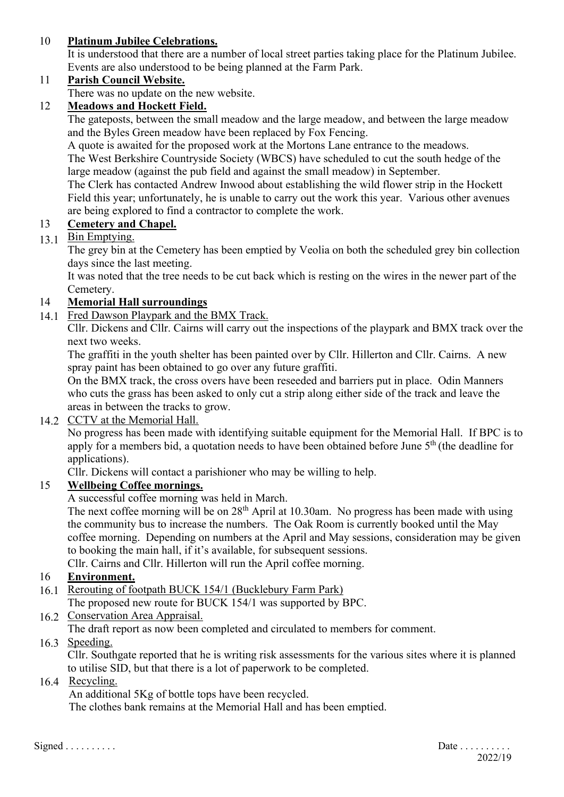#### 10 **Platinum Jubilee Celebrations.**

It is understood that there are a number of local street parties taking place for the Platinum Jubilee. Events are also understood to be being planned at the Farm Park.

# 11 **Parish Council Website.**

There was no update on the new website.

#### 12 **Meadows and Hockett Field.**

The gateposts, between the small meadow and the large meadow, and between the large meadow and the Byles Green meadow have been replaced by Fox Fencing.

A quote is awaited for the proposed work at the Mortons Lane entrance to the meadows.

The West Berkshire Countryside Society (WBCS) have scheduled to cut the south hedge of the large meadow (against the pub field and against the small meadow) in September.

The Clerk has contacted Andrew Inwood about establishing the wild flower strip in the Hockett Field this year; unfortunately, he is unable to carry out the work this year. Various other avenues are being explored to find a contractor to complete the work.

#### 13 **Cemetery and Chapel.**

# 13.1 Bin Emptying.

The grey bin at the Cemetery has been emptied by Veolia on both the scheduled grey bin collection days since the last meeting.

It was noted that the tree needs to be cut back which is resting on the wires in the newer part of the Cemetery.

#### 14 **Memorial Hall surroundings**

14.1 Fred Dawson Playpark and the BMX Track.

Cllr. Dickens and Cllr. Cairns will carry out the inspections of the playpark and BMX track over the next two weeks.

The graffiti in the youth shelter has been painted over by Cllr. Hillerton and Cllr. Cairns. A new spray paint has been obtained to go over any future graffiti.

On the BMX track, the cross overs have been reseeded and barriers put in place. Odin Manners who cuts the grass has been asked to only cut a strip along either side of the track and leave the areas in between the tracks to grow.

#### 14.2 CCTV at the Memorial Hall.

No progress has been made with identifying suitable equipment for the Memorial Hall. If BPC is to apply for a members bid, a quotation needs to have been obtained before June  $5<sup>th</sup>$  (the deadline for applications).

Cllr. Dickens will contact a parishioner who may be willing to help.

#### 15 **Wellbeing Coffee mornings.**

A successful coffee morning was held in March.

The next coffee morning will be on  $28<sup>th</sup>$  April at 10.30am. No progress has been made with using the community bus to increase the numbers. The Oak Room is currently booked until the May coffee morning. Depending on numbers at the April and May sessions, consideration may be given to booking the main hall, if it's available, for subsequent sessions.

Cllr. Cairns and Cllr. Hillerton will run the April coffee morning.

#### 16 **Environment.**

- 16.1 Rerouting of footpath BUCK 154/1 (Bucklebury Farm Park) The proposed new route for BUCK 154/1 was supported by BPC.
- 16.2 Conservation Area Appraisal.

The draft report as now been completed and circulated to members for comment.

#### 16.3 Speeding.

Cllr. Southgate reported that he is writing risk assessments for the various sites where it is planned to utilise SID, but that there is a lot of paperwork to be completed.

#### 16.4 Recycling.

An additional 5Kg of bottle tops have been recycled.

The clothes bank remains at the Memorial Hall and has been emptied.